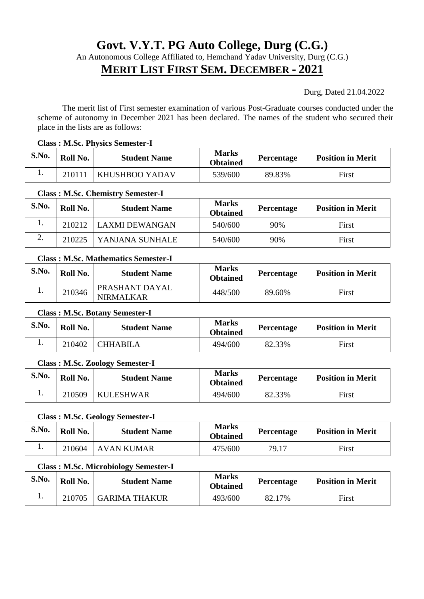# **Govt. V.Y.T. PG Auto College, Durg (C.G.)**

An Autonomous College Affiliated to, Hemchand Yadav University, Durg (C.G.)

# **MERIT LIST FIRST SEM. DECEMBER - 2021**

Durg, Dated 21.04.2022

 The merit list of First semester examination of various Post-Graduate courses conducted under the scheme of autonomy in December 2021 has been declared. The names of the student who secured their place in the lists are as follows:

#### **Class : M.Sc. Physics Semester-I**

| S.No. | Roll No. | <b>Student Name</b>   | <b>Marks</b><br><b>Obtained</b> | Percentage | <b>Position in Merit</b> |
|-------|----------|-----------------------|---------------------------------|------------|--------------------------|
| ı.    | 210111   | <b>KHUSHBOO YADAV</b> | 539/600                         | 89.83%     | First                    |

#### **Class : M.Sc. Chemistry Semester-I**

| S.No. | Roll No. | <b>Student Name</b>   | <b>Marks</b><br><b>Obtained</b> | Percentage | <b>Position in Merit</b> |
|-------|----------|-----------------------|---------------------------------|------------|--------------------------|
|       | 210212   | <b>LAXMI DEWANGAN</b> | 540/600                         | 90%        | First                    |
| ۷.    | 210225   | YANJANA SUNHALE       | 540/600                         | 90%        | First                    |

#### **Class : M.Sc. Mathematics Semester-I**

| S.No. | Roll No. | <b>Student Name</b>                | <b>Marks</b><br><b>Obtained</b> | Percentage | <b>Position in Merit</b> |
|-------|----------|------------------------------------|---------------------------------|------------|--------------------------|
|       | 210346   | PRASHANT DAYAL<br><b>NIRMALKAR</b> | 448/500                         | 89.60%     | First                    |

#### **Class : M.Sc. Botany Semester-I**

| S.No. | Roll No. | <b>Student Name</b> | <b>Marks</b><br><b>Obtained</b> | <b>Percentage</b> | <b>Position in Merit</b> |
|-------|----------|---------------------|---------------------------------|-------------------|--------------------------|
|       | 210402   | <b>CHHABILA</b>     | 494/600                         | 82.33%            | First                    |

#### **Class : M.Sc. Zoology Semester-I**

| S.No. | Roll No. | <b>Student Name</b> | <b>Marks</b><br>Obtained | Percentage | <b>Position in Merit</b> |
|-------|----------|---------------------|--------------------------|------------|--------------------------|
|       | 210509   | <b>KULESHWAR</b>    | 494/600                  | 82.33%     | First                    |

#### **Class : M.Sc. Geology Semester-I**

| S.No. | Roll No. | <b>Student Name</b> | <b>Marks</b><br><b>Obtained</b> | Percentage | <b>Position in Merit</b> |
|-------|----------|---------------------|---------------------------------|------------|--------------------------|
| . .   | 210604   | AVAN KUMAR          | 475/600                         | 79.17      | First                    |

#### **Class : M.Sc. Microbiology Semester-I**

| S.No. | Roll No. | <b>Student Name</b>  | <b>Marks</b><br><b>Obtained</b> | Percentage | <b>Position in Merit</b> |
|-------|----------|----------------------|---------------------------------|------------|--------------------------|
|       | 210705   | <b>GARIMA THAKUR</b> | 493/600                         | 82.17%     | First                    |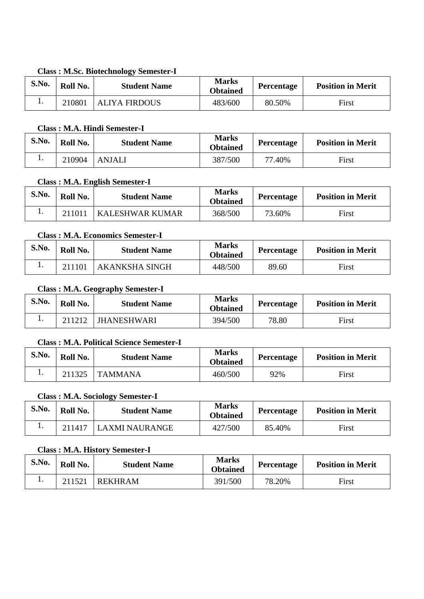# **Class : M.Sc. Biotechnology Semester-I**

| S.No. | Roll No. | <b>Student Name</b>  | <b>Marks</b><br><b>Obtained</b> | <b>Percentage</b> | <b>Position in Merit</b> |
|-------|----------|----------------------|---------------------------------|-------------------|--------------------------|
|       | 210801   | <b>ALIYA FIRDOUS</b> | 483/600                         | 80.50%            | First                    |

## **Class : M.A. Hindi Semester-I**

| S.No. | Roll No. | <b>Student Name</b> | <b>Marks</b><br><b>Obtained</b> | <b>Percentage</b> | <b>Position in Merit</b> |
|-------|----------|---------------------|---------------------------------|-------------------|--------------------------|
| . .   | 210904   | <b>ANJALI</b>       | 387/500                         | 77.40%            | First                    |

# **Class : M.A. English Semester-I**

| S.No. | Roll No. | <b>Student Name</b> | <b>Marks</b><br><b>Obtained</b> | Percentage | <b>Position in Merit</b> |
|-------|----------|---------------------|---------------------------------|------------|--------------------------|
|       | 211011   | KALESHWAR KUMAR     | 368/500                         | 73.60%     | First                    |

# **Class : M.A. Economics Semester-I**

| S.No. | Roll No. | <b>Student Name</b>   | <b>Marks</b><br><b>Obtained</b> | Percentage | <b>Position in Merit</b> |
|-------|----------|-----------------------|---------------------------------|------------|--------------------------|
|       | 211101   | <b>AKANKSHA SINGH</b> | 448/500                         | 89.60      | First                    |

# **Class : M.A. Geography Semester-I**

| S.No. | Roll No. | <b>Student Name</b> | <b>Marks</b><br><b>Obtained</b> | <b>Percentage</b> | <b>Position in Merit</b> |
|-------|----------|---------------------|---------------------------------|-------------------|--------------------------|
|       | 211212   | <b>JHANESHWARI</b>  | 394/500                         | 78.80             | First                    |

# **Class : M.A. Political Science Semester-I**

| S.No. | Roll No. | <b>Student Name</b> | <b>Marks</b><br><b>Obtained</b> | Percentage | <b>Position in Merit</b> |
|-------|----------|---------------------|---------------------------------|------------|--------------------------|
| .,    | 211325   | <b>TAMMANA</b>      | 460/500                         | 92%        | First                    |

# **Class : M.A. Sociology Semester-I**

| S.No. | Roll No. | <b>Student Name</b> | <b>Marks</b><br><b>Obtained</b> | Percentage | <b>Position in Merit</b> |
|-------|----------|---------------------|---------------------------------|------------|--------------------------|
|       | 211417   | LAXMI NAURANGE      | 427/500                         | 85.40%     | First                    |

## **Class : M.A. History Semester-I**

| S.No. | Roll No. | <b>Student Name</b> | <b>Marks</b><br><b>Obtained</b> | Percentage | <b>Position in Merit</b> |
|-------|----------|---------------------|---------------------------------|------------|--------------------------|
| . .   | 211521   | <b>REKHRAM</b>      | 391/500                         | 78.20%     | First                    |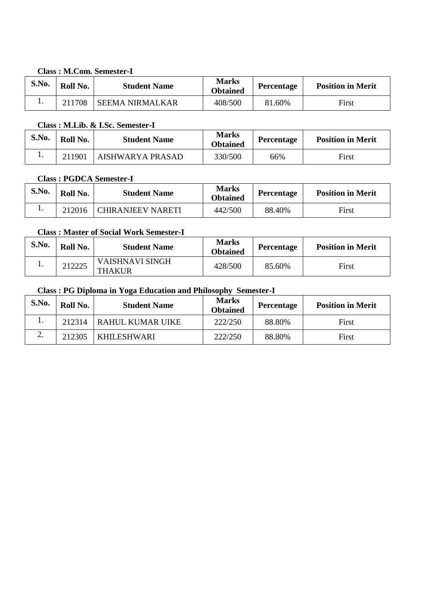#### **Class : M.Com. Semester-I**

| S.No. | Roll No. | <b>Student Name</b>    | <b>Marks</b><br><b>Obtained</b> | Percentage | <b>Position in Merit</b> |
|-------|----------|------------------------|---------------------------------|------------|--------------------------|
|       | 211708   | <b>SEEMA NIRMALKAR</b> | 408/500                         | 81.60%     | First                    |

# **Class : M.Lib. & I.Sc. Semester-I**

| S.No. | Roll No. | <b>Student Name</b> | <b>Marks</b><br><b>Obtained</b> | Percentage | <b>Position in Merit</b> |
|-------|----------|---------------------|---------------------------------|------------|--------------------------|
|       | 211901   | AISHWARYA PRASAD    | 330/500                         | 66%        | First                    |

## **Class : PGDCA Semester-I**

| S.No. | Roll No. | <b>Student Name</b>      | <b>Marks</b><br><b>Obtained</b> | Percentage | <b>Position in Merit</b> |
|-------|----------|--------------------------|---------------------------------|------------|--------------------------|
|       | 212016   | <b>CHIRANJEEV NARETI</b> | 442/500                         | 88.40%     | First                    |

#### **Class : Master of Social Work Semester-I**

| S.No. | Roll No. | <b>Student Name</b>              | <b>Marks</b><br><b>Obtained</b> | Percentage | <b>Position in Merit</b> |
|-------|----------|----------------------------------|---------------------------------|------------|--------------------------|
|       | 212225   | VAISHNAVI SINGH<br><b>THAKUR</b> | 428/500                         | 85.60%     | First                    |

# **Class : PG Diploma in Yoga Education and Philosophy Semester-I**

| S.No. | Roll No. | <b>Student Name</b>     | <b>Marks</b><br><b>Obtained</b> | Percentage | <b>Position in Merit</b> |
|-------|----------|-------------------------|---------------------------------|------------|--------------------------|
|       | 212314   | <b>RAHUL KUMAR UIKE</b> | 222/250                         | 88.80%     | First                    |
| ∠.    | 212305   | <b>KHILESHWARI</b>      | 222/250                         | 88.80%     | First                    |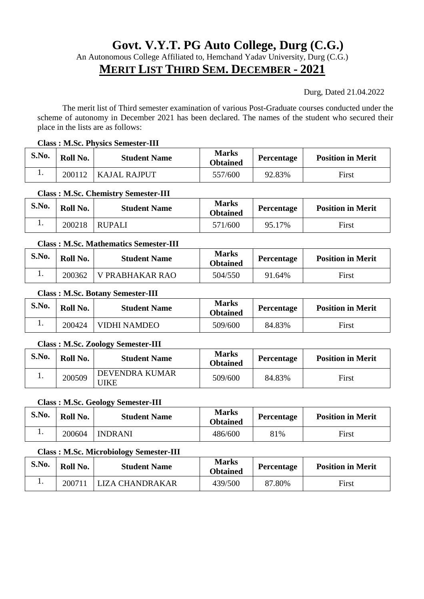# **Govt. V.Y.T. PG Auto College, Durg (C.G.)**

An Autonomous College Affiliated to, Hemchand Yadav University, Durg (C.G.)

# **MERIT LIST THIRD SEM. DECEMBER - 2021**

Durg, Dated 21.04.2022

 The merit list of Third semester examination of various Post-Graduate courses conducted under the scheme of autonomy in December 2021 has been declared. The names of the student who secured their place in the lists are as follows:

#### **Class : M.Sc. Physics Semester-III**

| S.No. | Roll No. | <b>Student Name</b> | <b>Marks</b><br><b>Obtained</b> | <b>Percentage</b> | <b>Position in Merit</b> |
|-------|----------|---------------------|---------------------------------|-------------------|--------------------------|
| . .   | 200112   | KAJAL RAJPUT        | 557/600                         | 92.83%            | First                    |

#### **Class : M.Sc. Chemistry Semester-III**

| S.No. | Roll No. | <b>Student Name</b> | <b>Marks</b><br><b>Obtained</b> | Percentage | <b>Position in Merit</b> |
|-------|----------|---------------------|---------------------------------|------------|--------------------------|
|       | 200218   | <b>RUPALI</b>       | 571/600                         | 95.17%     | First                    |

#### **Class : M.Sc. Mathematics Semester-III**

| S.No. | Roll No. | <b>Student Name</b> | <b>Marks</b><br><b>Obtained</b> | Percentage | <b>Position in Merit</b> |
|-------|----------|---------------------|---------------------------------|------------|--------------------------|
| . .   | 200362   | V PRABHAKAR RAO     | 504/550                         | 91.64%     | First                    |

#### **Class : M.Sc. Botany Semester-III**

| S.No. | Roll No. | <b>Student Name</b> | <b>Marks</b><br><b>Obtained</b> | Percentage | <b>Position in Merit</b> |
|-------|----------|---------------------|---------------------------------|------------|--------------------------|
|       | 200424   | VIDHI NAMDEO        | 509/600                         | 84.83%     | First                    |

#### **Class : M.Sc. Zoology Semester-III**

| S.No. | Roll No. | <b>Student Name</b>           | <b>Marks</b><br>Obtained | <b>Percentage</b> | <b>Position in Merit</b> |
|-------|----------|-------------------------------|--------------------------|-------------------|--------------------------|
|       | 200509   | DEVENDRA KUMAR<br><b>JIKE</b> | 509/600                  | 84.83%            | First                    |

#### **Class : M.Sc. Geology Semester-III**

| S.No. | Roll No. | <b>Student Name</b> | <b>Marks</b><br><b>Obtained</b> | Percentage | <b>Position in Merit</b> |
|-------|----------|---------------------|---------------------------------|------------|--------------------------|
| . .   | 200604   | <b>INDRANI</b>      | 486/600                         | 81%        | First                    |

#### **Class : M.Sc. Microbiology Semester-III**

| S.No. | Roll No. | <b>Student Name</b> | <b>Marks</b><br><b>Obtained</b> | <b>Percentage</b> | <b>Position in Merit</b> |
|-------|----------|---------------------|---------------------------------|-------------------|--------------------------|
| . .   | 200711   | JZA CHANDRAKAR      | 439/500                         | 87.80%            | First                    |